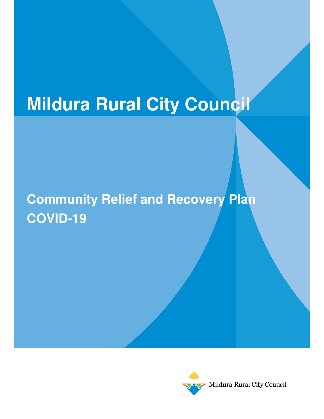# **Mildura Rural City Council**

# **Community Relief and Recovery Plan COVID-19**



Mildura Rural City Council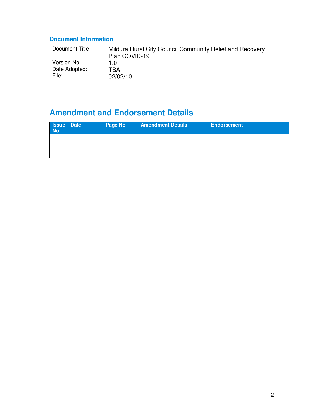## **Document Information**

| Document Title | Mildura Rural City Council Community Relief and Recovery<br>Plan COVID-19 |
|----------------|---------------------------------------------------------------------------|
| Version No     |                                                                           |
| Date Adopted:  | TBA                                                                       |
| File:          | 02/02/10                                                                  |

## **Amendment and Endorsement Details**

| <b>Issue</b> Date<br><b>No</b> | <b>Page No</b> | <b>Amendment Details</b> | <b>Endorsement</b> |
|--------------------------------|----------------|--------------------------|--------------------|
|                                |                |                          |                    |
|                                |                |                          |                    |
|                                |                |                          |                    |
|                                |                |                          |                    |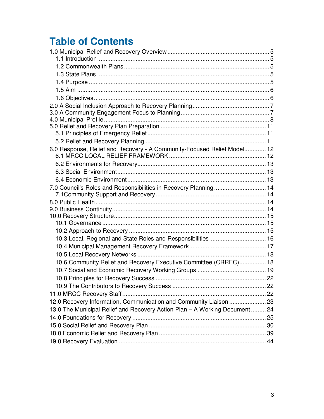## **Table of Contents**

| 6.0 Response, Relief and Recovery - A Community-Focused Relief Model 12    |  |
|----------------------------------------------------------------------------|--|
|                                                                            |  |
|                                                                            |  |
|                                                                            |  |
|                                                                            |  |
| 7.0 Council's Roles and Responsibilities in Recovery Planning 14           |  |
|                                                                            |  |
|                                                                            |  |
|                                                                            |  |
|                                                                            |  |
|                                                                            |  |
| 10.3 Local, Regional and State Roles and Responsibilities 16               |  |
|                                                                            |  |
|                                                                            |  |
| 10.6 Community Relief and Recovery Executive Committee (CRREC) 18          |  |
|                                                                            |  |
|                                                                            |  |
|                                                                            |  |
|                                                                            |  |
| 12.0 Recovery Information, Communication and Community Liaison  23         |  |
| 13.0 The Municipal Relief and Recovery Action Plan - A Working Document 24 |  |
|                                                                            |  |
|                                                                            |  |
|                                                                            |  |
|                                                                            |  |
|                                                                            |  |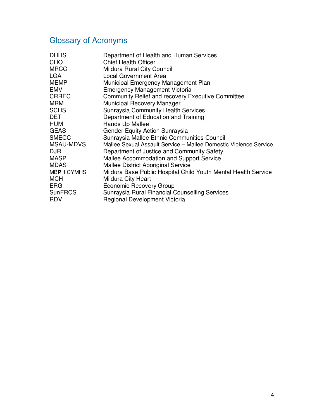## Glossary of Acronyms

| <b>DHHS</b>      | Department of Health and Human Services                          |
|------------------|------------------------------------------------------------------|
| CHO              | <b>Chief Health Officer</b>                                      |
| <b>MRCC</b>      | Mildura Rural City Council                                       |
| <b>LGA</b>       | <b>Local Government Area</b>                                     |
| <b>MEMP</b>      | Municipal Emergency Management Plan                              |
| <b>EMV</b>       | <b>Emergency Management Victoria</b>                             |
| <b>CRREC</b>     | <b>Community Relief and recovery Executive Committee</b>         |
| <b>MRM</b>       | Municipal Recovery Manager                                       |
| <b>SCHS</b>      | <b>Sunraysia Community Health Services</b>                       |
| DET              | Department of Education and Training                             |
| HUM              | Hands Up Mallee                                                  |
| <b>GEAS</b>      | Gender Equity Action Sunraysia                                   |
| <b>SMECC</b>     | Sunraysia Mallee Ethnic Communities Council                      |
| <b>MSAU-MDVS</b> | Mallee Sexual Assault Service – Mallee Domestic Violence Service |
| <b>DJR</b>       | Department of Justice and Community Safety                       |
| MASP             | Mallee Accommodation and Support Service                         |
| <b>MDAS</b>      | <b>Mallee District Aboriginal Service</b>                        |
| MBPH CYMHS       | Mildura Base Public Hospital Child Youth Mental Health Service   |
| <b>MCH</b>       | Mildura City Heart                                               |
| <b>ERG</b>       | <b>Economic Recovery Group</b>                                   |
| <b>SunFRCS</b>   | Sunraysia Rural Financial Counselling Services                   |
| <b>RDV</b>       | Regional Development Victoria                                    |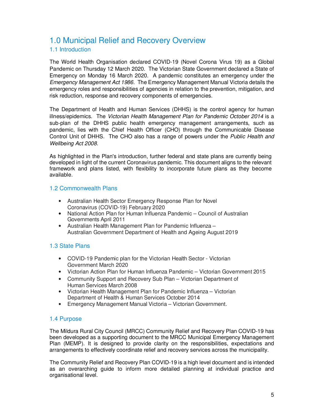## 1.0 Municipal Relief and Recovery Overview

## 1.1 Introduction

The World Health Organisation declared COVID-19 (Novel Corona Virus 19) as a Global Pandemic on Thursday 12 March 2020. The Victorian State Government declared a State of Emergency on Monday 16 March 2020. A pandemic constitutes an emergency under the *Emergency Management Act 1986*. The Emergency Management Manual Victoria details the emergency roles and responsibilities of agencies in relation to the prevention, mitigation, and risk reduction, response and recovery components of emergencies.

The Department of Health and Human Services (DHHS) is the control agency for human illness/epidemics. The *Victorian Health Management Plan for Pandemic October 2014* is a sub-plan of the DHHS public health emergency management arrangements, such as pandemic, lies with the Chief Health Officer (CHO) through the Communicable Disease Control Unit of DHHS. The CHO also has a range of powers under the *Public Health and Wellbeing Act 2008.* 

As highlighted in the Plan's introduction, further federal and state plans are currently being developed in light of the current Coronavirus pandemic. This document aligns to the relevant framework and plans listed, with flexibility to incorporate future plans as they become available.

## 1.2 Commonwealth Plans

- Australian Health Sector Emergency Response Plan for Novel Coronavirus (COVID-19) February 2020
- National Action Plan for Human Influenza Pandemic Council of Australian Governments April 2011
- Australian Health Management Plan for Pandemic Influenza Australian Government Department of Health and Ageing August 2019

## 1.3 State Plans

- COVID-19 Pandemic plan for the Victorian Health Sector Victorian Government March 2020
- Victorian Action Plan for Human Influenza Pandemic Victorian Government 2015
- Community Support and Recovery Sub Plan Victorian Department of Human Services March 2008
- Victorian Health Management Plan for Pandemic Influenza Victorian Department of Health & Human Services October 2014
- Emergency Management Manual Victoria Victorian Government.

## 1.4 Purpose

The Mildura Rural City Council (MRCC) Community Relief and Recovery Plan COVID-19 has been developed as a supporting document to the MRCC Municipal Emergency Management Plan (MEMP). It is designed to provide clarity on the responsibilities, expectations and arrangements to effectively coordinate relief and recovery services across the municipality.

The Community Relief and Recovery Plan COVID-19 is a high level document and is intended as an overarching guide to inform more detailed planning at individual practice and organisational level.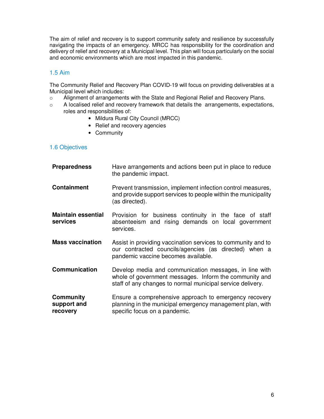The aim of relief and recovery is to support community safety and resilience by successfully navigating the impacts of an emergency. MRCC has responsibility for the coordination and delivery of relief and recovery at a Municipal level. This plan will focus particularly on the social and economic environments which are most impacted in this pandemic.

## 1.5 Aim

The Community Relief and Recovery Plan COVID-19 will focus on providing deliverables at a Municipal level which includes:

- o Alignment of arrangements with the State and Regional Relief and Recovery Plans.
- o A localised relief and recovery framework that details the arrangements, expectations, roles and responsibilities of:
	- Mildura Rural City Council (MRCC)
	- Relief and recovery agencies
	- Community

## 1.6 Objectives

| <b>Preparedness</b>                         | Have arrangements and actions been put in place to reduce<br>the pandemic impact.                                                                                              |
|---------------------------------------------|--------------------------------------------------------------------------------------------------------------------------------------------------------------------------------|
| <b>Containment</b>                          | Prevent transmission, implement infection control measures,<br>and provide support services to people within the municipality<br>(as directed).                                |
| <b>Maintain essential</b><br>services       | Provision for business continuity in the face of staff<br>absenteeism and rising demands on local government<br>services.                                                      |
| <b>Mass vaccination</b>                     | Assist in providing vaccination services to community and to<br>our contracted councils/agencies (as directed) when a<br>pandemic vaccine becomes available.                   |
| <b>Communication</b>                        | Develop media and communication messages, in line with<br>whole of government messages. Inform the community and<br>staff of any changes to normal municipal service delivery. |
| <b>Community</b><br>support and<br>recovery | Ensure a comprehensive approach to emergency recovery<br>planning in the municipal emergency management plan, with<br>specific focus on a pandemic.                            |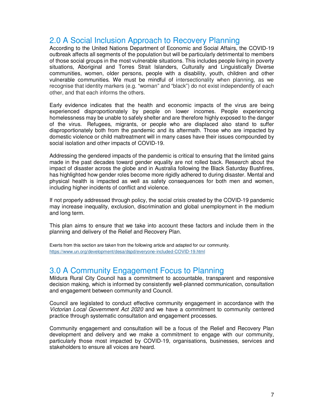## 2.0 A Social Inclusion Approach to Recovery Planning

According to the United Nations Department of Economic and Social Affairs, the COVID-19 outbreak affects all segments of the population but will be particularly detrimental to members of those social groups in the most vulnerable situations. This includes people living in poverty situations, Aboriginal and Torres Strait Islanders, Culturally and Linguistically Diverse communities, women, older persons, people with a disability, youth, children and other vulnerable communities. We must be mindful of intersectionality when planning, as we recognise that identity markers (e.g. "woman" and "black") do not exist independently of each other, and that each informs the others.

Early evidence indicates that the health and economic impacts of the virus are being experienced disproportionately by people on lower incomes. People experiencing homelessness may be unable to safely shelter and are therefore highly exposed to the danger of the virus. Refugees, migrants, or people who are displaced also stand to suffer disproportionately both from the pandemic and its aftermath. Those who are impacted by domestic violence or child maltreatment will in many cases have their issues compounded by social isolation and other impacts of COVID-19.

Addressing the gendered impacts of the pandemic is critical to ensuring that the limited gains made in the past decades toward gender equality are not rolled back. Research about the impact of disaster across the globe and in Australia following the Black Saturday Bushfires, has highlighted how gender roles become more rigidly adhered to during disaster. Mental and physical health is impacted as well as safety consequences for both men and women, including higher incidents of conflict and violence.

If not properly addressed through policy, the social crisis created by the COVID-19 pandemic may increase inequality, exclusion, discrimination and global unemployment in the medium and long term.

This plan aims to ensure that we take into account these factors and include them in the planning and delivery of the Relief and Recovery Plan.

Exerts from this section are taken from the following article and adapted for our community. https://www.un.org/development/desa/dspd/everyone-included-COVID-19.html

## 3.0 A Community Engagement Focus to Planning

Mildura Rural City Council has a commitment to accountable, transparent and responsive decision making, which is informed by consistently well-planned communication, consultation and engagement between community and Council.

Council are legislated to conduct effective community engagement in accordance with the *Victorian Local Government Act 2020* and we have a commitment to community centered practice through systematic consultation and engagement processes.

Community engagement and consultation will be a focus of the Relief and Recovery Plan development and delivery and we make a commitment to engage with our community, particularly those most impacted by COVID-19, organisations, businesses, services and stakeholders to ensure all voices are heard.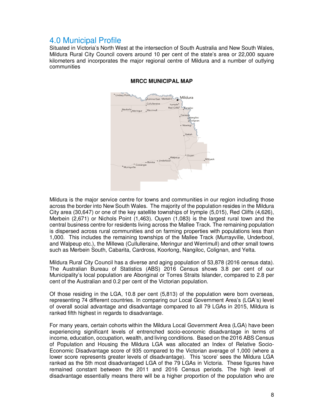## 4.0 Municipal Profile

Situated in Victoria's North West at the intersection of South Australia and New South Wales, Mildura Rural City Council covers around 10 per cent of the state's area or 22,000 square kilometers and incorporates the major regional centre of Mildura and a number of outlying communities



#### **MRCC MUNICIPAL MAP**

Mildura is the major service centre for towns and communities in our region including those across the border into New South Wales. The majority of the population resides in the Mildura City area (30,647) or one of the key satellite townships of Irymple (5,015), Red Cliffs (4,626), Merbein (2,671) or Nichols Point (1,463). Ouyen (1,083) is the largest rural town and the central business centre for residents living across the Mallee Track. The remaining population is dispersed across rural communities and on farming properties with populations less than 1,000. This includes the remaining townships of the Mallee Track (Murrayville, Underbool, and Walpeup etc.), the Millewa (Cullulleraine, Meringur and Werrimull) and other small towns such as Merbein South, Cabarita, Cardross, Koorlong, Nangiloc, Colignan, and Yelta.

Mildura Rural City Council has a diverse and aging population of 53,878 (2016 census data). The Australian Bureau of Statistics (ABS) 2016 Census shows 3.8 per cent of our Municipality's local population are Aboriginal or Torres Straits Islander, compared to 2.8 per cent of the Australian and 0.2 per cent of the Victorian population.

Of those residing in the LGA, 10.8 per cent (5,813) of the population were born overseas, representing 74 different countries. In comparing our Local Government Area's (LGA's) level of overall social advantage and disadvantage compared to all 79 LGAs in 2015, Mildura is ranked fifth highest in regards to disadvantage.

For many years, certain cohorts within the Mildura Local Government Area (LGA) have been experiencing significant levels of entrenched socio-economic disadvantage in terms of income, education, occupation, wealth, and living conditions. Based on the 2016 ABS Census of Population and Housing the Mildura LGA was allocated an Index of Relative Socio-Economic Disadvantage score of 935 compared to the Victorian average of 1,000 (where a lower score represents greater levels of disadvantage). This 'score' sees the Mildura LGA ranked as the 5th most disadvantaged LGA of the 79 LGAs in Victoria. These figures have remained constant between the 2011 and 2016 Census periods. The high level of disadvantage essentially means there will be a higher proportion of the population who are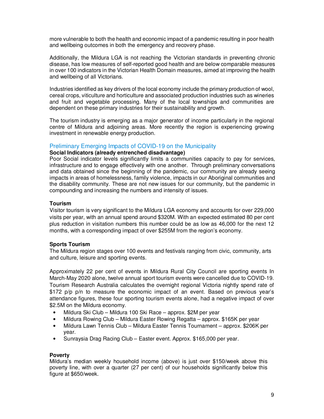more vulnerable to both the health and economic impact of a pandemic resulting in poor health and wellbeing outcomes in both the emergency and recovery phase.

Additionally, the Mildura LGA is not reaching the Victorian standards in preventing chronic disease, has low measures of self-reported good health and are below comparable measures in over 100 indicators in the Victorian Health Domain measures, aimed at improving the health and wellbeing of all Victorians.

Industries identified as key drivers of the local economy include the primary production of wool, cereal crops, viticulture and horticulture and associated production industries such as wineries and fruit and vegetable processing. Many of the local townships and communities are dependent on these primary industries for their sustainability and growth.

The tourism industry is emerging as a major generator of income particularly in the regional centre of Mildura and adjoining areas. More recently the region is experiencing growing investment in renewable energy production.

#### Preliminary Emerging Impacts of COVID-19 on the Municipality

#### **Social Indicators (already entrenched disadvantage)**

Poor Social indicator levels significantly limits a communities capacity to pay for services, infrastructure and to engage effectively with one another. Through preliminary conversations and data obtained since the beginning of the pandemic, our community are already seeing impacts in areas of homelessness, family violence, impacts in our Aboriginal communities and the disability community. These are not new issues for our community, but the pandemic in compounding and increasing the numbers and intensity of issues.

#### **Tourism**

Visitor tourism is very significant to the Mildura LGA economy and accounts for over 229,000 visits per year, with an annual spend around \$320M. With an expected estimated 80 per cent plus reduction in visitation numbers this number could be as low as 46,000 for the next 12 months, with a corresponding impact of over \$255M from the region's economy.

#### **Sports Tourism**

The Mildura region stages over 100 events and festivals ranging from civic, community, arts and culture, leisure and sporting events.

Approximately 22 per cent of events in Mildura Rural City Council are sporting events In March-May 2020 alone, twelve annual sport tourism events were cancelled due to COVID-19. Tourism Research Australia calculates the overnight regional Victoria nightly spend rate of \$172 p/p p/n to measure the economic impact of an event. Based on previous vear's attendance figures, these four sporting tourism events alone, had a negative impact of over \$2.5M on the Mildura economy.

- Mildura Ski Club Mildura 100 Ski Race approx. \$2M per year
- Mildura Rowing Club Mildura Easter Rowing Regatta approx. \$165K per year
- Mildura Lawn Tennis Club Mildura Easter Tennis Tournament approx. \$206K per year.
- Sunraysia Drag Racing Club Easter event. Approx. \$165,000 per year.

#### **Poverty**

Mildura's median weekly household income (above) is just over \$150/week above this poverty line, with over a quarter (27 per cent) of our households significantly below this figure at \$650/week.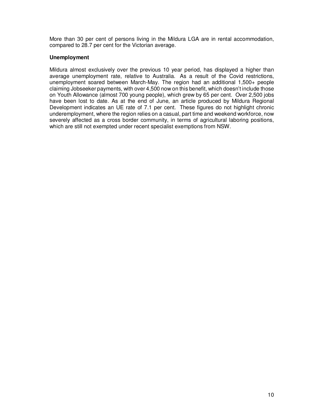More than 30 per cent of persons living in the Mildura LGA are in rental accommodation, compared to 28.7 per cent for the Victorian average.

#### **Unemployment**

Mildura almost exclusively over the previous 10 year period, has displayed a higher than average unemployment rate, relative to Australia. As a result of the Covid restrictions, unemployment soared between March-May. The region had an additional 1,500+ people claiming Jobseeker payments, with over 4,500 now on this benefit, which doesn't include those on Youth Allowance (almost 700 young people), which grew by 65 per cent. Over 2,500 jobs have been lost to date. As at the end of June, an article produced by Mildura Regional Development indicates an UE rate of 7.1 per cent. These figures do not highlight chronic underemployment, where the region relies on a casual, part time and weekend workforce, now severely affected as a cross border community, in terms of agricultural laboring positions, which are still not exempted under recent specialist exemptions from NSW.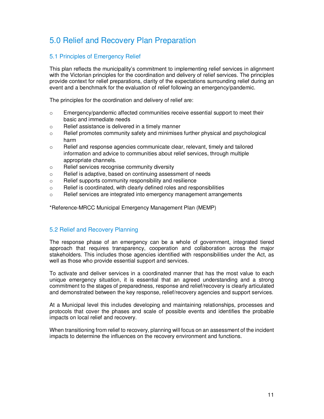## 5.0 Relief and Recovery Plan Preparation

## 5.1 Principles of Emergency Relief

This plan reflects the municipality's commitment to implementing relief services in alignment with the Victorian principles for the coordination and delivery of relief services. The principles provide context for relief preparations, clarity of the expectations surrounding relief during an event and a benchmark for the evaluation of relief following an emergency/pandemic.

The principles for the coordination and delivery of relief are:

- $\circ$  Emergency/pandemic affected communities receive essential support to meet their basic and immediate needs
- o Relief assistance is delivered in a timely manner
- $\circ$  Relief promotes community safety and minimises further physical and psychological harm
- $\circ$  Relief and response agencies communicate clear, relevant, timely and tailored information and advice to communities about relief services, through multiple appropriate channels.
- o Relief services recognise community diversity
- o Relief is adaptive, based on continuing assessment of needs
- o Relief supports community responsibility and resilience
- o Relief is coordinated, with clearly defined roles and responsibilities
- $\circ$  Relief services are integrated into emergency management arrangements

\*Reference-MRCC Municipal Emergency Management Plan (MEMP)

## 5.2 Relief and Recovery Planning

The response phase of an emergency can be a whole of government, integrated tiered approach that requires transparency, cooperation and collaboration across the major stakeholders. This includes those agencies identified with responsibilities under the Act, as well as those who provide essential support and services.

To activate and deliver services in a coordinated manner that has the most value to each unique emergency situation, it is essential that an agreed understanding and a strong commitment to the stages of preparedness, response and relief/recovery is clearly articulated and demonstrated between the key response, relief/recovery agencies and support services.

At a Municipal level this includes developing and maintaining relationships, processes and protocols that cover the phases and scale of possible events and identifies the probable impacts on local relief and recovery.

When transitioning from relief to recovery, planning will focus on an assessment of the incident impacts to determine the influences on the recovery environment and functions.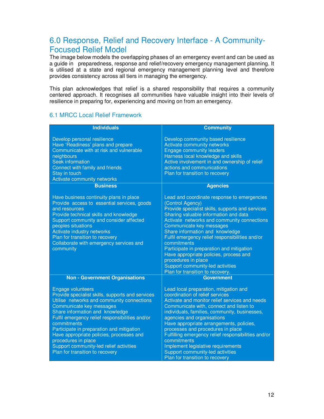## 6.0 Response, Relief and Recovery Interface - A Community-Focused Relief Model

The image below models the overlapping phases of an emergency event and can be used as a guide in preparedness, response and relief/recovery emergency management planning. It is utilised at a state and regional emergency management planning level and therefore provides consistency across all tiers in managing the emergency.

This plan acknowledges that relief is a shared responsibility that requires a community centered approach. It recognises all communities have valuable insight into their levels of resilience in preparing for, experiencing and moving on from an emergency.

### 6.1 MRCC Local Relief Framework

| <b>Individuals</b>                                                                                                                                                                                                                                                                                                                                                                                                                                        | <b>Community</b>                                                                                                                                                                                                                                                                                                                                                                                                                                                                                                                   |
|-----------------------------------------------------------------------------------------------------------------------------------------------------------------------------------------------------------------------------------------------------------------------------------------------------------------------------------------------------------------------------------------------------------------------------------------------------------|------------------------------------------------------------------------------------------------------------------------------------------------------------------------------------------------------------------------------------------------------------------------------------------------------------------------------------------------------------------------------------------------------------------------------------------------------------------------------------------------------------------------------------|
| Develop personal resilience<br>Have 'Readiness' plans and prepare<br>Communicate with at risk and vulnerable<br>neighbours<br><b>Seek information</b><br>Connect with family and friends<br>Stay in touch<br>Activate community networks                                                                                                                                                                                                                  | Develop community based resilience<br>Activate community networks<br><b>Engage community leaders</b><br>Harness local knowledge and skills<br>Active involvement in and ownership of relief<br>actions and communications<br>Plan for transition to recovery                                                                                                                                                                                                                                                                       |
| <b>Business</b>                                                                                                                                                                                                                                                                                                                                                                                                                                           | <b>Agencies</b>                                                                                                                                                                                                                                                                                                                                                                                                                                                                                                                    |
| Have business continuity plans in place<br>Provide access to essential services, goods<br>and resources<br>Provide technical skills and knowledge<br>Support community and consider affected<br>peoples situations<br>Activate industry networks<br>Plan for transition to recovery<br>Collaborate with emergency services and<br>community                                                                                                               | Lead and coordinate response to emergencies<br>(Control Agency)<br>Provide specialist skills, supports and services<br>Sharing valuable information and data<br>Activate networks and community connections<br>Communicate key messages<br>Share information and knowledge<br>Fulfil emergency relief responsibilities and/or<br>commitments<br>Participate in preparation and mitigation<br>Have appropriate policies, process and<br>procedures in place<br>Support community-led activities<br>Plan for transition to recovery. |
| <b>Non - Government Organisations</b>                                                                                                                                                                                                                                                                                                                                                                                                                     | <b>Government</b>                                                                                                                                                                                                                                                                                                                                                                                                                                                                                                                  |
| <b>Engage volunteers</b><br>Provide specialist skills, supports and services<br>Utilise networks and community connections<br>Communicate key messages<br>Share information and knowledge<br>Fulfil emergency relief responsibilities and/or<br>commitments<br>Participate in preparation and mitigation<br>Have appropriate policies, processes and<br>procedures in place<br>Support community-led relief activities<br>Plan for transition to recovery | Lead local preparation, mitigation and<br>coordination of relief services<br>Activate and monitor relief services and needs<br>Communicate with, connect and listen to<br>individuals, families, community, businesses,<br>agencies and organisations<br>Have appropriate arrangements, policies,<br>processes and procedures in place<br>Fulfilling emergency relief responsibilities and/or<br>commitments<br>Implement legislative requirements<br>Support community-led activities<br>Plan for transition to recovery          |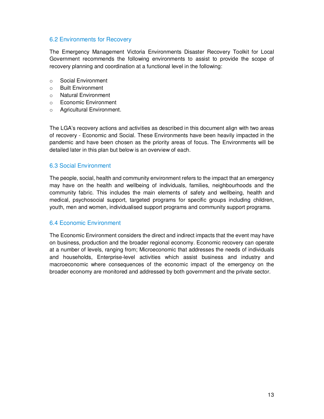### 6.2 Environments for Recovery

The Emergency Management Victoria Environments Disaster Recovery Toolkit for Local Government recommends the following environments to assist to provide the scope of recovery planning and coordination at a functional level in the following:

- o Social Environment
- o Built Environment
- o Natural Environment
- o Economic Environment
- o Agricultural Environment.

The LGA's recovery actions and activities as described in this document align with two areas of recovery - Economic and Social. These Environments have been heavily impacted in the pandemic and have been chosen as the priority areas of focus. The Environments will be detailed later in this plan but below is an overview of each.

#### 6.3 Social Environment

The people, social, health and community environment refers to the impact that an emergency may have on the health and wellbeing of individuals, families, neighbourhoods and the community fabric. This includes the main elements of safety and wellbeing, health and medical, psychosocial support, targeted programs for specific groups including children, youth, men and women, individualised support programs and community support programs.

#### 6.4 Economic Environment

The Economic Environment considers the direct and indirect impacts that the event may have on business, production and the broader regional economy. Economic recovery can operate at a number of levels, ranging from; Microeconomic that addresses the needs of individuals and households, Enterprise-level activities which assist business and industry and macroeconomic where consequences of the economic impact of the emergency on the broader economy are monitored and addressed by both government and the private sector.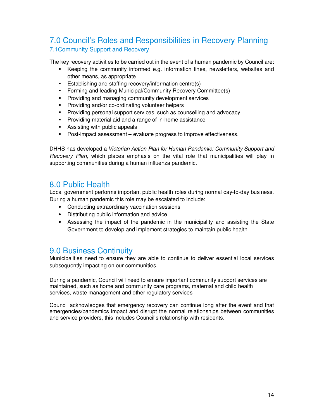## 7.0 Council's Roles and Responsibilities in Recovery Planning 7.1Community Support and Recovery

The key recovery activities to be carried out in the event of a human pandemic by Council are:

- Keeping the community informed e.g. information lines, newsletters, websites and other means, as appropriate
- **E** Establishing and staffing recovery/information centre(s)
- **Forming and leading Municipal/Community Recovery Committee(s)**
- **Providing and managing community development services**
- **Providing and/or co-ordinating volunteer helpers**
- **Providing personal support services, such as counselling and advocacy**
- **Providing material aid and a range of in-home assistance**
- **Assisting with public appeals**
- Post-impact assessment evaluate progress to improve effectiveness.

DHHS has developed a *Victorian Action Plan for Human Pandemic: Community Support and Recovery Plan*, which places emphasis on the vital role that municipalities will play in supporting communities during a human influenza pandemic.

## 8.0 Public Health

Local government performs important public health roles during normal day-to-day business. During a human pandemic this role may be escalated to include:

- Conducting extraordinary vaccination sessions
- Distributing public information and advice
- Assessing the impact of the pandemic in the municipality and assisting the State Government to develop and implement strategies to maintain public health

## 9.0 Business Continuity

Municipalities need to ensure they are able to continue to deliver essential local services subsequently impacting on our communities.

During a pandemic, Council will need to ensure important community support services are maintained, such as home and community care programs, maternal and child health services, waste management and other regulatory services

Council acknowledges that emergency recovery can continue long after the event and that emergencies/pandemics impact and disrupt the normal relationships between communities and service providers, this includes Council's relationship with residents.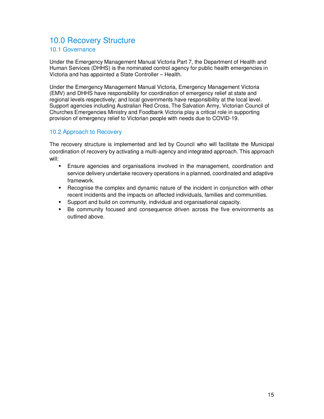## 10.0 Recovery Structure

## 10.1 Governance

Under the Emergency Management Manual Victoria Part 7, the Department of Health and Human Services (DHHS) is the nominated control agency for public health emergencies in Victoria and has appointed a State Controller – Health.

Under the Emergency Management Manual Victoria, Emergency Management Victoria (EMV) and DHHS have responsibility for coordination of emergency relief at state and regional levels respectively; and local governments have responsibility at the local level. Support agencies including Australian Red Cross, The Salvation Army, Victorian Council of Churches Emergencies Ministry and Foodbank Victoria play a critical role in supporting provision of emergency relief to Victorian people with needs due to COVID-19.

## 10.2 Approach to Recovery

The recovery structure is implemented and led by Council who will facilitate the Municipal coordination of recovery by activating a multi-agency and integrated approach. This approach will:

- Ensure agencies and organisations involved in the management, coordination and service delivery undertake recovery operations in a planned, coordinated and adaptive framework.
- Recognise the complex and dynamic nature of the incident in conjunction with other recent incidents and the impacts on affected individuals, families and communities.
- Support and build on community, individual and organisational capacity.
- Be community focused and consequence driven across the five environments as outlined above.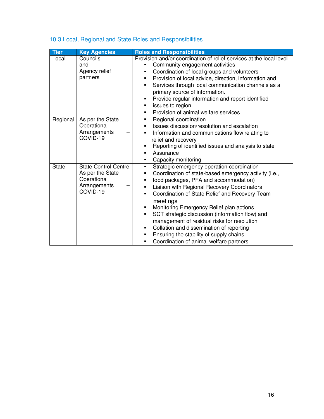| <b>Tier</b>  | <b>Key Agencies</b>                                                                        | <b>Roles and Responsibilities</b>                                                                                                                                                                                                                                                                                                                                                                                                                                                                                                                                                                                                  |
|--------------|--------------------------------------------------------------------------------------------|------------------------------------------------------------------------------------------------------------------------------------------------------------------------------------------------------------------------------------------------------------------------------------------------------------------------------------------------------------------------------------------------------------------------------------------------------------------------------------------------------------------------------------------------------------------------------------------------------------------------------------|
| Local        | Councils<br>and<br>Agency relief<br>partners                                               | Provision and/or coordination of relief services at the local level<br>Community engagement activities<br>٠<br>Coordination of local groups and volunteers<br>П<br>Provision of local advice, direction, information and<br>п<br>Services through local communication channels as a<br>$\blacksquare$<br>primary source of information.<br>Provide regular information and report identified<br>п<br>issues to region<br>п<br>Provision of animal welfare services<br>$\blacksquare$                                                                                                                                               |
| Regional     | As per the State<br>Operational<br>Arrangements<br>COVID-19                                | Regional coordination<br>$\blacksquare$<br>Issues discussion/resolution and escalation<br>п<br>Information and communications flow relating to<br>П<br>relief and recovery<br>Reporting of identified issues and analysis to state<br>п<br>Assurance<br>$\blacksquare$<br>Capacity monitoring<br>$\blacksquare$                                                                                                                                                                                                                                                                                                                    |
| <b>State</b> | <b>State Control Centre</b><br>As per the State<br>Operational<br>Arrangements<br>COVID-19 | Strategic emergency operation coordination<br>п<br>Coordination of state-based emergency activity (i.e.,<br>п<br>food packages, PFA and accommodation)<br>$\blacksquare$<br>Liaison with Regional Recovery Coordinators<br>$\blacksquare$<br>Coordination of State Relief and Recovery Team<br>П<br>meetings<br>Monitoring Emergency Relief plan actions<br>$\blacksquare$<br>SCT strategic discussion (information flow) and<br>٠<br>management of residual risks for resolution<br>Collation and dissemination of reporting<br>п<br>Ensuring the stability of supply chains<br>п<br>Coordination of animal welfare partners<br>П |

## 10.3 Local, Regional and State Roles and Responsibilities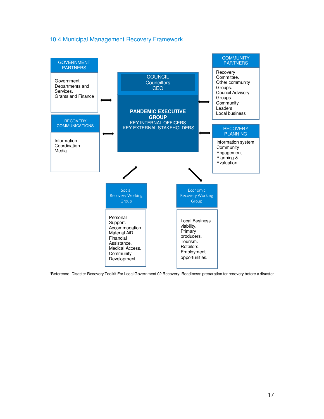## 10.4 Municipal Management Recovery Framework



\*Reference- Disaster Recovery Toolkit For Local Government 02 Recovery: Readiness: preparation for recovery before a disaster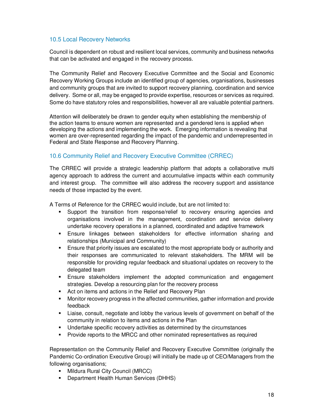## 10.5 Local Recovery Networks

Council is dependent on robust and resilient local services, community and business networks that can be activated and engaged in the recovery process.

The Community Relief and Recovery Executive Committee and the Social and Economic Recovery Working Groups include an identified group of agencies, organisations, businesses and community groups that are invited to support recovery planning, coordination and service delivery. Some or all, may be engaged to provide expertise, resources or services as required. Some do have statutory roles and responsibilities, however all are valuable potential partners.

Attention will deliberately be drawn to gender equity when establishing the membership of the action teams to ensure women are represented and a gendered lens is applied when developing the actions and implementing the work. Emerging information is revealing that women are over-represented regarding the impact of the pandemic and underrepresented in Federal and State Response and Recovery Planning.

## 10.6 Community Relief and Recovery Executive Committee (CRREC)

The CRREC will provide a strategic leadership platform that adopts a collaborative multi agency approach to address the current and accumulative impacts within each community and interest group. The committee will also address the recovery support and assistance needs of those impacted by the event.

A Terms of Reference for the CRREC would include, but are not limited to:

- Support the transition from response/relief to recovery ensuring agencies and organisations involved in the management, coordination and service delivery undertake recovery operations in a planned, coordinated and adaptive framework
- Ensure linkages between stakeholders for effective information sharing and relationships (Municipal and Community)
- **Ensure that priority issues are escalated to the most appropriate body or authority and** their responses are communicated to relevant stakeholders. The MRM will be responsible for providing regular feedback and situational updates on recovery to the delegated team
- Ensure stakeholders implement the adopted communication and engagement strategies. Develop a resourcing plan for the recovery process
- Act on items and actions in the Relief and Recovery Plan
- Monitor recovery progress in the affected communities, gather information and provide feedback
- Liaise, consult, negotiate and lobby the various levels of government on behalf of the community in relation to items and actions in the Plan
- Undertake specific recovery activities as determined by the circumstances
- **Provide reports to the MRCC and other nominated representatives as required**

Representation on the Community Relief and Recovery Executive Committee (originally the Pandemic Co-ordination Executive Group) will initially be made up of CEO/Managers from the following organisations;

- **Mildura Rural City Council (MRCC)**
- **•** Department Health Human Services (DHHS)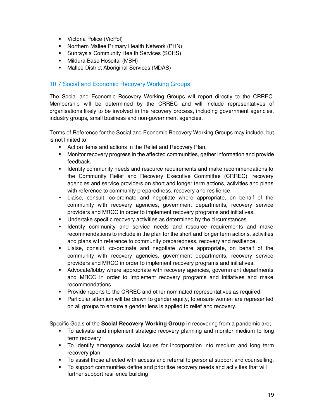- **Victoria Police (VicPol)**
- Northern Mallee Primary Health Network (PHN)
- **Sunraysia Community Health Services (SCHS)**
- **Mildura Base Hospital (MBH)**
- **Mallee District Aboriginal Services (MDAS)**

## 10.7 Social and Economic Recovery Working Groups

The Social and Economic Recovery Working Groups will report directly to the CRREC. Membership will be determined by the CRREC and will include representatives of organisations likely to be involved in the recovery process, including government agencies, industry groups, small business and non-government agencies.

Terms of Reference for the Social and Economic Recovery Working Groups may include, but is not limited to:

- Act on items and actions in the Relief and Recovery Plan.
- Monitor recovery progress in the affected communities, gather information and provide feedback.
- **IDENTIFY COMMUNITY 1988 and resource requirements and make recommendations to resolutions** the Community Relief and Recovery Executive Committee (CRREC), recovery agencies and service providers on short and longer term actions, activities and plans with reference to community preparedness, recovery and resilience.
- Liaise, consult, co-ordinate and negotiate where appropriate, on behalf of the community with recovery agencies, government departments, recovery service providers and MRCC in order to implement recovery programs and initiatives.
- Undertake specific recovery activities as determined by the circumstances.
- **I dentify community and service needs and resource requirements and make** recommendations to include in the plan for the short and longer term actions, activities and plans with reference to community preparedness, recovery and resilience.
- Liaise, consult, co-ordinate and negotiate where appropriate, on behalf of the community with recovery agencies, government departments, recovery service providers and MRCC in order to implement recovery programs and initiatives.
- **Advocate/lobby where appropriate with recovery agencies, government departments** and MRCC in order to implement recovery programs and initiatives and make recommendations.
- Provide reports to the CRREC and other nominated representatives as required.
- Particular attention will be drawn to gender equity, to ensure women are represented on all groups to ensure a gender lens is applied to relief and recovery.

Specific Goals of the **Social Recovery Working Group** in recovering from a pandemic are;

- To activate and implement strategic recovery planning and monitor medium to long term recovery
- To identify emergency social issues for incorporation into medium and long term recovery plan.
- $\blacksquare$  To assist those affected with access and referral to personal support and counselling.
- To support communities define and prioritise recovery needs and activities that will further support resilience building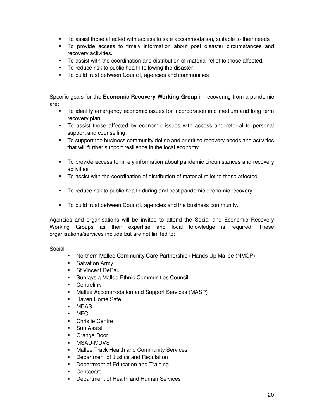- To assist those affected with access to safe accommodation, suitable to their needs
- To provide access to timely information about post disaster circumstances and recovery activities.
- To assist with the coordination and distribution of material relief to those affected.
- To reduce risk to public health following the disaster
- To build trust between Council, agencies and communities

Specific goals for the **Economic Recovery Working Group** in recovering from a pandemic are:

- To identify emergency economic issues for incorporation into medium and long term recovery plan.
- To assist those affected by economic issues with access and referral to personal support and counselling.
- To support the business community define and prioritise recovery needs and activities that will further support resilience in the local economy.
- To provide access to timely information about pandemic circumstances and recovery activities.
- To assist with the coordination of distribution of material relief to those affected.
- To reduce risk to public health during and post pandemic economic recovery.
- To build trust between Council, agencies and the business community.

Agencies and organisations will be invited to attend the Social and Economic Recovery Working Groups as their expertise and local knowledge is required. These organisations/services include but are not limited to:

Social

- Northern Mallee Community Care Partnership / Hands Up Mallee (NMCP)
- **Salvation Army**
- St Vincent DePaul
- Sunraysia Mallee Ethnic Communities Council
- **Centrelink**
- Mallee Accommodation and Support Services (MASP)
- Haven Home Safe
- MDAS
- MFC
- **•** Christie Centre
- Sun Assist
- Orange Door
- MSAU-MDVS
- **Mallee Track Health and Community Services**
- **•** Department of Justice and Regulation
- **•** Department of Education and Training
- **Centacare**
- Department of Health and Human Services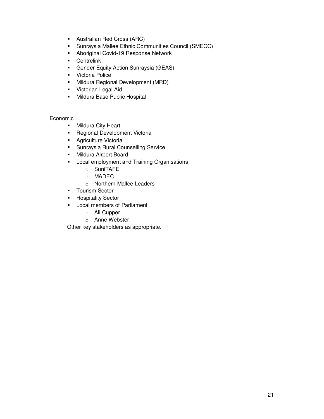- Australian Red Cross (ARC)
- Sunraysia Mallee Ethnic Communities Council (SMECC)
- **Aboriginal Covid-19 Response Network**
- **Centrelink**
- Gender Equity Action Sunraysia (GEAS)
- **•** Victoria Police
- **Mildura Regional Development (MRD)**
- **•** Victorian Legal Aid
- **Mildura Base Public Hospital**

#### Economic

- **Nildura City Heart**
- **-** Regional Development Victoria
- **Agriculture Victoria**
- **Sunraysia Rural Counselling Service**
- **Nildura Airport Board**
- **Local employment and Training Organisations** 
	- o SuniTAFE
	- o MADEC
	- o Northern Mallee Leaders
- **Tourism Sector**
- **-** Hospitality Sector
- **Local members of Parliament** 
	- o Ali Cupper
	- o Anne Webster

Other key stakeholders as appropriate.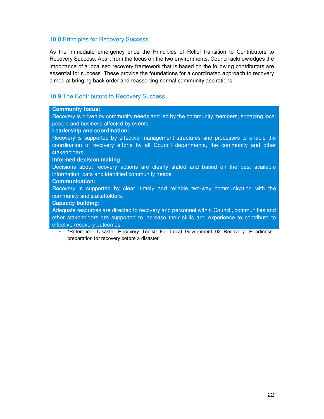#### 10.8 Principles for Recovery Success

As the immediate emergency ends the Principles of Relief transition to Contributors to Recovery Success. Apart from the focus on the two environments, Council acknowledges the importance of a localised recovery framework that is based on the following contributors are essential for success. These provide the foundations for a coordinated approach to recovery aimed at bringing back order and reasserting normal community aspirations.

## 10.9 The Contributors to Recovery Success

#### **Community focus:**

Recovery is driven by community needs and led by the community members, engaging local people and business affected by events.

#### **Leadership and coordination:**

Recovery is supported by effective management structures and processes to enable the coordination of recovery efforts by all Council departments, the community and other stakeholders.

#### **Informed decision making:**

Decisions about recovery actions are clearly stated and based on the best available information, data and identified community needs.

#### **Communication:**

Recovery is supported by clear, timely and reliable two-way communication with the community and stakeholders.

#### **Capacity building:**

Adequate resources are directed to recovery and personnel within Council, communities and other stakeholders are supported to increase their skills and experience to contribute to effective recovery outcomes.

o \*Reference- Disaster Recovery Toolkit For Local Government 02 Recovery: Readiness: preparation for recovery before a disaster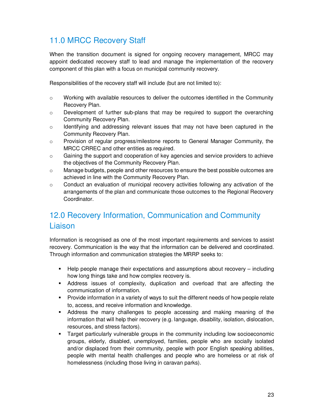## 11.0 MRCC Recovery Staff

When the transition document is signed for ongoing recovery management, MRCC may appoint dedicated recovery staff to lead and manage the implementation of the recovery component of this plan with a focus on municipal community recovery.

Responsibilities of the recovery staff will include (but are not limited to):

- $\circ$  Working with available resources to deliver the outcomes identified in the Community Recovery Plan.
- $\circ$  Development of further sub-plans that may be required to support the overarching Community Recovery Plan.
- $\circ$  Identifying and addressing relevant issues that may not have been captured in the Community Recovery Plan.
- o Provision of regular progress/milestone reports to General Manager Community, the MRCC CRREC and other entities as required.
- $\circ$  Gaining the support and cooperation of key agencies and service providers to achieve the objectives of the Community Recovery Plan.
- $\circ$  Manage budgets, people and other resources to ensure the best possible outcomes are achieved in line with the Community Recovery Plan.
- $\circ$  Conduct an evaluation of municipal recovery activities following any activation of the arrangements of the plan and communicate those outcomes to the Regional Recovery Coordinator.

## 12.0 Recovery Information, Communication and Community Liaison

Information is recognised as one of the most important requirements and services to assist recovery. Communication is the way that the information can be delivered and coordinated. Through information and communication strategies the MRRP seeks to:

- Help people manage their expectations and assumptions about recovery including how long things take and how complex recovery is.
- Address issues of complexity, duplication and overload that are affecting the communication of information.
- Provide information in a variety of ways to suit the different needs of how people relate to, access, and receive information and knowledge.
- Address the many challenges to people accessing and making meaning of the information that will help their recovery (e.g. language, disability, isolation, dislocation, resources, and stress factors).
- Target particularly vulnerable groups in the community including low socioeconomic groups, elderly, disabled, unemployed, families, people who are socially isolated and/or displaced from their community, people with poor English speaking abilities, people with mental health challenges and people who are homeless or at risk of homelessness (including those living in caravan parks).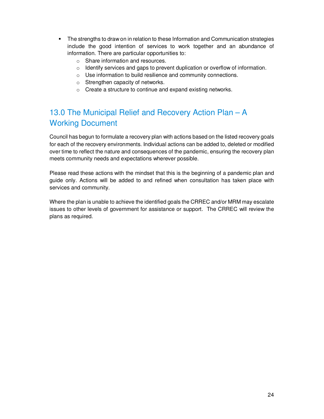- **The strengths to draw on in relation to these Information and Communication strategies** include the good intention of services to work together and an abundance of information. There are particular opportunities to:
	- o Share information and resources.
	- $\circ$  Identify services and gaps to prevent duplication or overflow of information.
	- o Use information to build resilience and community connections.
	- o Strengthen capacity of networks.
	- o Create a structure to continue and expand existing networks.

## 13.0 The Municipal Relief and Recovery Action Plan – A Working Document

Council has begun to formulate a recovery plan with actions based on the listed recovery goals for each of the recovery environments. Individual actions can be added to, deleted or modified over time to reflect the nature and consequences of the pandemic, ensuring the recovery plan meets community needs and expectations wherever possible.

Please read these actions with the mindset that this is the beginning of a pandemic plan and guide only. Actions will be added to and refined when consultation has taken place with services and community.

Where the plan is unable to achieve the identified goals the CRREC and/or MRM may escalate issues to other levels of government for assistance or support. The CRREC will review the plans as required.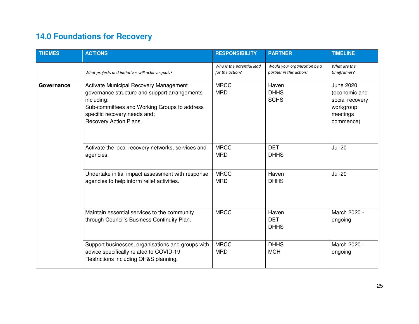| <b>THEMES</b> | <b>ACTIONS</b>                                                                                                                                                                                                  | <b>RESPONSIBILITY</b>                        | <b>PARTNER</b>                                          | <b>TIMELINE</b>                                                                            |
|---------------|-----------------------------------------------------------------------------------------------------------------------------------------------------------------------------------------------------------------|----------------------------------------------|---------------------------------------------------------|--------------------------------------------------------------------------------------------|
|               | What projects and initiatives will achieve goals?                                                                                                                                                               | Who is the potential lead<br>for the action? | Would your organisation be a<br>partner in this action? | What are the<br>timeframes?                                                                |
| Governance    | Activate Municipal Recovery Management<br>governance structure and support arrangements<br>including:<br>Sub-committees and Working Groups to address<br>specific recovery needs and;<br>Recovery Action Plans. | <b>MRCC</b><br><b>MRD</b>                    | Haven<br><b>DHHS</b><br><b>SCHS</b>                     | <b>June 2020</b><br>(economic and<br>social recovery<br>workgroup<br>meetings<br>commence) |
|               | Activate the local recovery networks, services and<br>agencies.                                                                                                                                                 | <b>MRCC</b><br><b>MRD</b>                    | <b>DET</b><br><b>DHHS</b>                               | <b>Jul-20</b>                                                                              |
|               | Undertake initial impact assessment with response<br>agencies to help inform relief activities.                                                                                                                 | <b>MRCC</b><br><b>MRD</b>                    | Haven<br><b>DHHS</b>                                    | <b>Jul-20</b>                                                                              |
|               | Maintain essential services to the community<br>through Council's Business Continuity Plan.                                                                                                                     | <b>MRCC</b>                                  | Haven<br><b>DET</b><br><b>DHHS</b>                      | March 2020 -<br>ongoing                                                                    |
|               | Support businesses, organisations and groups with<br>advice specifically related to COVID-19<br>Restrictions including OH&S planning.                                                                           | <b>MRCC</b><br><b>MRD</b>                    | <b>DHHS</b><br><b>MCH</b>                               | March 2020 -<br>ongoing                                                                    |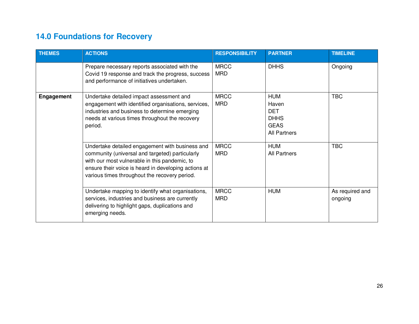| <b>THEMES</b>     | <b>ACTIONS</b>                                                                                                                                                                                                                                               | <b>RESPONSIBILITY</b>     | <b>PARTNER</b>                                                                         | <b>TIMELINE</b>            |
|-------------------|--------------------------------------------------------------------------------------------------------------------------------------------------------------------------------------------------------------------------------------------------------------|---------------------------|----------------------------------------------------------------------------------------|----------------------------|
|                   | Prepare necessary reports associated with the<br>Covid 19 response and track the progress, success<br>and performance of initiatives undertaken.                                                                                                             | <b>MRCC</b><br><b>MRD</b> | <b>DHHS</b>                                                                            | Ongoing                    |
| <b>Engagement</b> | Undertake detailed impact assessment and<br>engagement with identified organisations, services,<br>industries and business to determine emerging<br>needs at various times throughout the recovery<br>period.                                                | <b>MRCC</b><br><b>MRD</b> | <b>HUM</b><br>Haven<br><b>DET</b><br><b>DHHS</b><br><b>GEAS</b><br><b>All Partners</b> | <b>TBC</b>                 |
|                   | Undertake detailed engagement with business and<br>community (universal and targeted) particularly<br>with our most vulnerable in this pandemic, to<br>ensure their voice is heard in developing actions at<br>various times throughout the recovery period. | <b>MRCC</b><br><b>MRD</b> | <b>HUM</b><br><b>All Partners</b>                                                      | <b>TBC</b>                 |
|                   | Undertake mapping to identify what organisations,<br>services, industries and business are currently<br>delivering to highlight gaps, duplications and<br>emerging needs.                                                                                    | <b>MRCC</b><br><b>MRD</b> | <b>HUM</b>                                                                             | As required and<br>ongoing |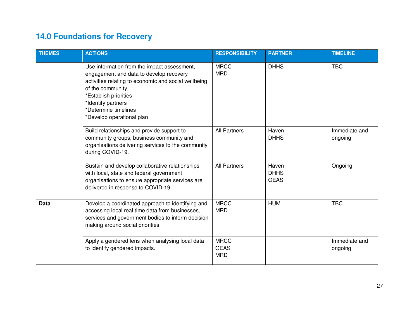| <b>THEMES</b> | <b>ACTIONS</b>                                                                                                                                                                                                                                                         | <b>RESPONSIBILITY</b>                    | <b>PARTNER</b>                      | <b>TIMELINE</b>          |
|---------------|------------------------------------------------------------------------------------------------------------------------------------------------------------------------------------------------------------------------------------------------------------------------|------------------------------------------|-------------------------------------|--------------------------|
|               | Use information from the impact assessment,<br>engagement and data to develop recovery<br>activities relating to economic and social wellbeing<br>of the community<br>*Establish priorities<br>*Identify partners<br>*Determine timelines<br>*Develop operational plan | <b>MRCC</b><br><b>MRD</b>                | <b>DHHS</b>                         | <b>TBC</b>               |
|               | Build relationships and provide support to<br>community groups, business community and<br>organisations delivering services to the community<br>during COVID-19.                                                                                                       | <b>All Partners</b>                      | Haven<br><b>DHHS</b>                | Immediate and<br>ongoing |
|               | Sustain and develop collaborative relationships<br>with local, state and federal government<br>organisations to ensure appropriate services are<br>delivered in response to COVID-19.                                                                                  | <b>All Partners</b>                      | Haven<br><b>DHHS</b><br><b>GEAS</b> | Ongoing                  |
| <b>Data</b>   | Develop a coordinated approach to identifying and<br>accessing local real time data from businesses,<br>services and government bodies to inform decision<br>making around social priorities.                                                                          | <b>MRCC</b><br><b>MRD</b>                | <b>HUM</b>                          | <b>TBC</b>               |
|               | Apply a gendered lens when analysing local data<br>to identify gendered impacts.                                                                                                                                                                                       | <b>MRCC</b><br><b>GEAS</b><br><b>MRD</b> |                                     | Immediate and<br>ongoing |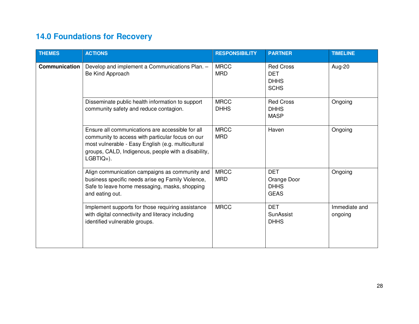| <b>THEMES</b>        | <b>ACTIONS</b>                                                                                                                                                                                                                    | <b>RESPONSIBILITY</b>      | <b>PARTNER</b>                                               | <b>TIMELINE</b>          |
|----------------------|-----------------------------------------------------------------------------------------------------------------------------------------------------------------------------------------------------------------------------------|----------------------------|--------------------------------------------------------------|--------------------------|
| <b>Communication</b> | Develop and implement a Communications Plan. -<br>Be Kind Approach                                                                                                                                                                | <b>MRCC</b><br><b>MRD</b>  | <b>Red Cross</b><br><b>DET</b><br><b>DHHS</b><br><b>SCHS</b> | Aug-20                   |
|                      | Disseminate public health information to support<br>community safety and reduce contagion.                                                                                                                                        | <b>MRCC</b><br><b>DHHS</b> | <b>Red Cross</b><br><b>DHHS</b><br><b>MASP</b>               | Ongoing                  |
|                      | Ensure all communications are accessible for all<br>community to access with particular focus on our<br>most vulnerable - Easy English (e.g. multicultural<br>groups, CALD, Indigenous, people with a disability,<br>$LGBTIQ+$ ). | <b>MRCC</b><br><b>MRD</b>  | Haven                                                        | Ongoing                  |
|                      | Align communication campaigns as community and<br>business specific needs arise eg Family Violence,<br>Safe to leave home messaging, masks, shopping<br>and eating out.                                                           | <b>MRCC</b><br><b>MRD</b>  | <b>DET</b><br>Orange Door<br><b>DHHS</b><br><b>GEAS</b>      | Ongoing                  |
|                      | Implement supports for those requiring assistance<br>with digital connectivity and literacy including<br>identified vulnerable groups.                                                                                            | <b>MRCC</b>                | <b>DET</b><br>SunAssist<br><b>DHHS</b>                       | Immediate and<br>ongoing |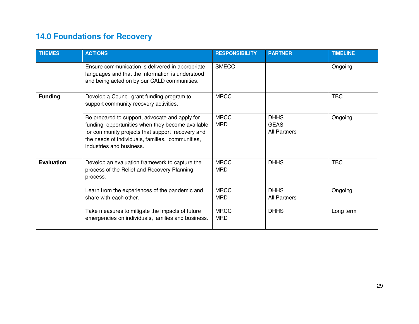| <b>THEMES</b>     | <b>ACTIONS</b>                                                                                                                                                                                                                         | <b>RESPONSIBILITY</b>     | <b>PARTNER</b>                             | <b>TIMELINE</b> |
|-------------------|----------------------------------------------------------------------------------------------------------------------------------------------------------------------------------------------------------------------------------------|---------------------------|--------------------------------------------|-----------------|
|                   | Ensure communication is delivered in appropriate<br>languages and that the information is understood<br>and being acted on by our CALD communities.                                                                                    | <b>SMECC</b>              |                                            | Ongoing         |
| <b>Funding</b>    | Develop a Council grant funding program to<br>support community recovery activities.                                                                                                                                                   | <b>MRCC</b>               |                                            | <b>TBC</b>      |
|                   | Be prepared to support, advocate and apply for<br>funding opportunities when they become available<br>for community projects that support recovery and<br>the needs of individuals, families, communities,<br>industries and business. | <b>MRCC</b><br><b>MRD</b> | <b>DHHS</b><br><b>GEAS</b><br>All Partners | Ongoing         |
| <b>Evaluation</b> | Develop an evaluation framework to capture the<br>process of the Relief and Recovery Planning<br>process.                                                                                                                              | <b>MRCC</b><br><b>MRD</b> | <b>DHHS</b>                                | <b>TBC</b>      |
|                   | Learn from the experiences of the pandemic and<br>share with each other.                                                                                                                                                               | <b>MRCC</b><br><b>MRD</b> | <b>DHHS</b><br><b>All Partners</b>         | Ongoing         |
|                   | Take measures to mitigate the impacts of future<br>emergencies on individuals, families and business.                                                                                                                                  | <b>MRCC</b><br><b>MRD</b> | <b>DHHS</b>                                | Long term       |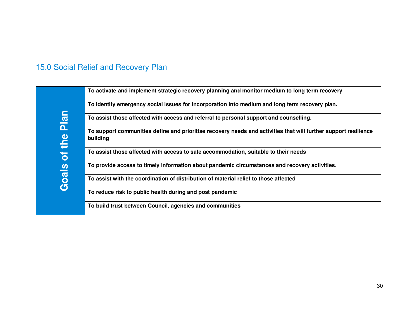## 15.0 Social Relief and Recovery Plan

|                                     | To activate and implement strategic recovery planning and monitor medium to long term recovery                              |
|-------------------------------------|-----------------------------------------------------------------------------------------------------------------------------|
|                                     | To identify emergency social issues for incorporation into medium and long term recovery plan.                              |
| $\blacksquare$<br><b>Pla</b>        | To assist those affected with access and referral to personal support and counselling.                                      |
| the                                 | To support communities define and prioritise recovery needs and activities that will further support resilience<br>building |
| ÷<br>$\overline{O}$                 | To assist those affected with access to safe accommodation, suitable to their needs                                         |
| $\overline{\mathbf{v}}$             | To provide access to timely information about pandemic circumstances and recovery activities.                               |
| $\overline{\mathbf{B}}$<br><b>ர</b> | To assist with the coordination of distribution of material relief to those affected                                        |
|                                     | To reduce risk to public health during and post pandemic                                                                    |
|                                     | To build trust between Council, agencies and communities                                                                    |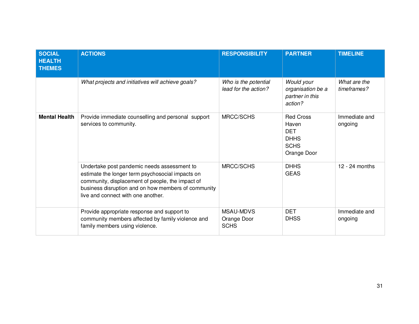| <b>SOCIAL</b><br><b>HEALTH</b><br><b>THEMES</b> | <b>ACTIONS</b>                                                                                                                                                                                                                                   | <b>RESPONSIBILITY</b>                          | <b>PARTNER</b>                                                                       | <b>TIMELINE</b>             |
|-------------------------------------------------|--------------------------------------------------------------------------------------------------------------------------------------------------------------------------------------------------------------------------------------------------|------------------------------------------------|--------------------------------------------------------------------------------------|-----------------------------|
|                                                 | What projects and initiatives will achieve goals?                                                                                                                                                                                                | Who is the potential<br>lead for the action?   | Would your<br>organisation be a<br>partner in this<br>action?                        | What are the<br>timeframes? |
| <b>Mental Health</b>                            | Provide immediate counselling and personal support<br>services to community.                                                                                                                                                                     | MRCC/SCHS                                      | <b>Red Cross</b><br>Haven<br><b>DET</b><br><b>DHHS</b><br><b>SCHS</b><br>Orange Door | Immediate and<br>ongoing    |
|                                                 | Undertake post pandemic needs assessment to<br>estimate the longer term psychosocial impacts on<br>community, displacement of people, the impact of<br>business disruption and on how members of community<br>live and connect with one another. | MRCC/SCHS                                      | <b>DHHS</b><br><b>GEAS</b>                                                           | $12 - 24$ months            |
|                                                 | Provide appropriate response and support to<br>community members affected by family violence and<br>family members using violence.                                                                                                               | <b>MSAU-MDVS</b><br>Orange Door<br><b>SCHS</b> | <b>DET</b><br><b>DHSS</b>                                                            | Immediate and<br>ongoing    |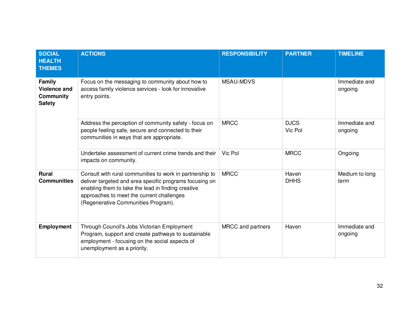| <b>SOCIAL</b><br><b>HEALTH</b><br><b>THEMES</b>                    | <b>ACTIONS</b>                                                                                                                                                                                                                                                | <b>RESPONSIBILITY</b> | <b>PARTNER</b>         | <b>TIMELINE</b>          |
|--------------------------------------------------------------------|---------------------------------------------------------------------------------------------------------------------------------------------------------------------------------------------------------------------------------------------------------------|-----------------------|------------------------|--------------------------|
| <b>Family</b><br><b>Violence and</b><br>Community<br><b>Safety</b> | Focus on the messaging to community about how to<br>access family violence services - look for innovative<br>entry points.                                                                                                                                    | <b>MSAU-MDVS</b>      |                        | Immediate and<br>ongoing |
|                                                                    | Address the perception of community safety - focus on<br>people feeling safe, secure and connected to their<br>communities in ways that are appropriate.                                                                                                      | <b>MRCC</b>           | <b>DJCS</b><br>Vic Pol | Immediate and<br>ongoing |
|                                                                    | Undertake assessment of current crime trends and their<br>impacts on community.                                                                                                                                                                               | Vic Pol               | <b>MRCC</b>            | Ongoing                  |
| <b>Rural</b><br><b>Communities</b>                                 | Consult with rural communities to work in partnership to<br>deliver targeted and area specific programs focusing on<br>enabling them to take the lead in finding creative<br>approaches to meet the current challenges<br>(Regenerative Communities Program). | <b>MRCC</b>           | Haven<br><b>DHHS</b>   | Medium to long<br>term   |
| <b>Employment</b>                                                  | Through Council's Jobs Victorian Employment<br>Program, support and create pathways to sustainable<br>employment - focusing on the social aspects of<br>unemployment as a priority.                                                                           | MRCC and partners     | Haven                  | Immediate and<br>ongoing |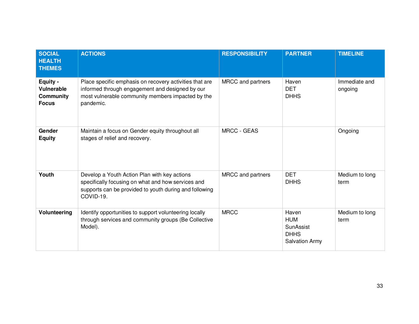| <b>SOCIAL</b><br><b>HEALTH</b><br><b>THEMES</b>                   | <b>ACTIONS</b>                                                                                                                                                               | <b>RESPONSIBILITY</b> | <b>PARTNER</b>                                                           | <b>TIMELINE</b>          |
|-------------------------------------------------------------------|------------------------------------------------------------------------------------------------------------------------------------------------------------------------------|-----------------------|--------------------------------------------------------------------------|--------------------------|
| Equity -<br><b>Vulnerable</b><br><b>Community</b><br><b>Focus</b> | Place specific emphasis on recovery activities that are<br>informed through engagement and designed by our<br>most vulnerable community members impacted by the<br>pandemic. | MRCC and partners     | Haven<br><b>DET</b><br><b>DHHS</b>                                       | Immediate and<br>ongoing |
| Gender<br><b>Equity</b>                                           | Maintain a focus on Gender equity throughout all<br>stages of relief and recovery.                                                                                           | <b>MRCC - GEAS</b>    |                                                                          | Ongoing                  |
| Youth                                                             | Develop a Youth Action Plan with key actions<br>specifically focusing on what and how services and<br>supports can be provided to youth during and following<br>COVID-19.    | MRCC and partners     | <b>DET</b><br><b>DHHS</b>                                                | Medium to long<br>term   |
| Volunteering                                                      | Identify opportunities to support volunteering locally<br>through services and community groups (Be Collective<br>Model).                                                    | <b>MRCC</b>           | Haven<br><b>HUM</b><br>SunAssist<br><b>DHHS</b><br><b>Salvation Army</b> | Medium to long<br>term   |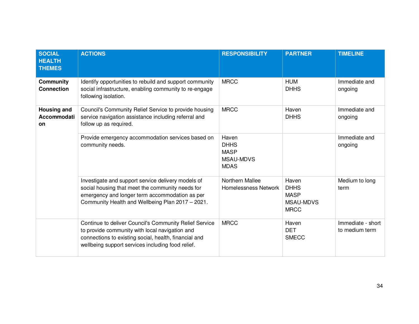| <b>SOCIAL</b><br><b>HEALTH</b><br><b>THEMES</b> | <b>ACTIONS</b>                                                                                                                                                                                                         | <b>RESPONSIBILITY</b>                                           | <b>PARTNER</b>                                                         | <b>TIMELINE</b>                     |
|-------------------------------------------------|------------------------------------------------------------------------------------------------------------------------------------------------------------------------------------------------------------------------|-----------------------------------------------------------------|------------------------------------------------------------------------|-------------------------------------|
| <b>Community</b><br><b>Connection</b>           | Identify opportunities to rebuild and support community<br>social infrastructure, enabling community to re-engage<br>following isolation.                                                                              | <b>MRCC</b>                                                     | <b>HUM</b><br><b>DHHS</b>                                              | Immediate and<br>ongoing            |
| <b>Housing and</b><br>Accommodati<br><b>on</b>  | Council's Community Relief Service to provide housing<br>service navigation assistance including referral and<br>follow up as required.                                                                                | <b>MRCC</b>                                                     | Haven<br><b>DHHS</b>                                                   | Immediate and<br>ongoing            |
|                                                 | Provide emergency accommodation services based on<br>community needs.                                                                                                                                                  | Haven<br><b>DHHS</b><br><b>MASP</b><br>MSAU-MDVS<br><b>MDAS</b> |                                                                        | Immediate and<br>ongoing            |
|                                                 | Investigate and support service delivery models of<br>social housing that meet the community needs for<br>emergency and longer term accommodation as per<br>Community Health and Wellbeing Plan 2017 - 2021.           | Northern Mallee<br><b>Homelessness Network</b>                  | Haven<br><b>DHHS</b><br><b>MASP</b><br><b>MSAU-MDVS</b><br><b>MRCC</b> | Medium to long<br>term              |
|                                                 | Continue to deliver Council's Community Relief Service<br>to provide community with local navigation and<br>connections to existing social, health, financial and<br>wellbeing support services including food relief. | <b>MRCC</b>                                                     | Haven<br><b>DET</b><br><b>SMECC</b>                                    | Immediate - short<br>to medium term |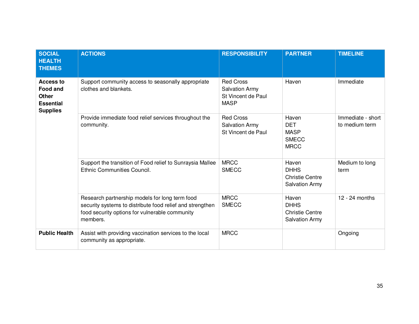| <b>SOCIAL</b><br><b>HEALTH</b><br><b>THEMES</b>                                            | <b>ACTIONS</b>                                                                                                                                                            | <b>RESPONSIBILITY</b>                                                          | <b>PARTNER</b>                                                          | <b>TIMELINE</b>                     |
|--------------------------------------------------------------------------------------------|---------------------------------------------------------------------------------------------------------------------------------------------------------------------------|--------------------------------------------------------------------------------|-------------------------------------------------------------------------|-------------------------------------|
| <b>Access to</b><br><b>Food and</b><br><b>Other</b><br><b>Essential</b><br><b>Supplies</b> | Support community access to seasonally appropriate<br>clothes and blankets.                                                                                               | <b>Red Cross</b><br><b>Salvation Army</b><br>St Vincent de Paul<br><b>MASP</b> | Haven                                                                   | Immediate                           |
|                                                                                            | Provide immediate food relief services throughout the<br>community.                                                                                                       | <b>Red Cross</b><br><b>Salvation Army</b><br>St Vincent de Paul                | Haven<br><b>DET</b><br><b>MASP</b><br><b>SMECC</b><br><b>MRCC</b>       | Immediate - short<br>to medium term |
|                                                                                            | Support the transition of Food relief to Sunraysia Mallee<br>Ethnic Communities Council.                                                                                  | <b>MRCC</b><br><b>SMECC</b>                                                    | Haven<br><b>DHHS</b><br><b>Christie Centre</b><br><b>Salvation Army</b> | Medium to long<br>term              |
|                                                                                            | Research partnership models for long term food<br>security systems to distribute food relief and strengthen<br>food security options for vulnerable community<br>members. | <b>MRCC</b><br><b>SMECC</b>                                                    | Haven<br><b>DHHS</b><br><b>Christie Centre</b><br><b>Salvation Army</b> | 12 - 24 months                      |
| <b>Public Health</b>                                                                       | Assist with providing vaccination services to the local<br>community as appropriate.                                                                                      | <b>MRCC</b>                                                                    |                                                                         | Ongoing                             |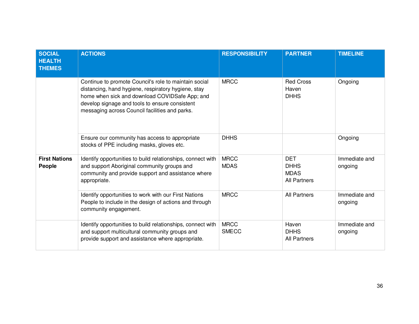| <b>SOCIAL</b><br><b>HEALTH</b><br><b>THEMES</b> | <b>ACTIONS</b>                                                                                                                                                                                                                                                     | <b>RESPONSIBILITY</b>       | <b>PARTNER</b>                                                  | <b>TIMELINE</b>          |
|-------------------------------------------------|--------------------------------------------------------------------------------------------------------------------------------------------------------------------------------------------------------------------------------------------------------------------|-----------------------------|-----------------------------------------------------------------|--------------------------|
|                                                 | Continue to promote Council's role to maintain social<br>distancing, hand hygiene, respiratory hygiene, stay<br>home when sick and download COVIDSafe App; and<br>develop signage and tools to ensure consistent<br>messaging across Council facilities and parks. | <b>MRCC</b>                 | <b>Red Cross</b><br>Haven<br><b>DHHS</b>                        | Ongoing                  |
|                                                 | Ensure our community has access to appropriate<br>stocks of PPE including masks, gloves etc.                                                                                                                                                                       | <b>DHHS</b>                 |                                                                 | Ongoing                  |
| <b>First Nations</b><br>People                  | Identify opportunities to build relationships, connect with<br>and support Aboriginal community groups and<br>community and provide support and assistance where<br>appropriate.                                                                                   | <b>MRCC</b><br><b>MDAS</b>  | <b>DET</b><br><b>DHHS</b><br><b>MDAS</b><br><b>All Partners</b> | Immediate and<br>ongoing |
|                                                 | Identify opportunities to work with our First Nations<br>People to include in the design of actions and through<br>community engagement.                                                                                                                           | <b>MRCC</b>                 | <b>All Partners</b>                                             | Immediate and<br>ongoing |
|                                                 | Identify opportunities to build relationships, connect with<br>and support multicultural community groups and<br>provide support and assistance where appropriate.                                                                                                 | <b>MRCC</b><br><b>SMECC</b> | Haven<br><b>DHHS</b><br><b>All Partners</b>                     | Immediate and<br>ongoing |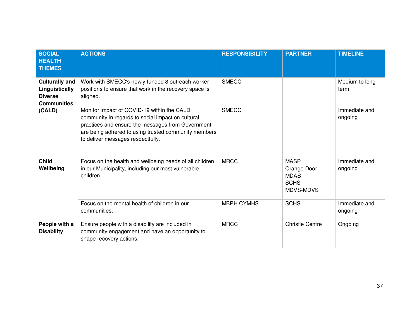| <b>SOCIAL</b><br><b>HEALTH</b><br><b>THEMES</b>                                           | <b>ACTIONS</b>                                                                                                                                                                                                                                    | <b>RESPONSIBILITY</b> | <b>PARTNER</b>                                                        | <b>TIMELINE</b>          |
|-------------------------------------------------------------------------------------------|---------------------------------------------------------------------------------------------------------------------------------------------------------------------------------------------------------------------------------------------------|-----------------------|-----------------------------------------------------------------------|--------------------------|
| <b>Culturally and</b><br>Linguistically<br><b>Diverse</b><br><b>Communities</b><br>(CALD) | Work with SMECC's newly funded 8 outreach worker<br>positions to ensure that work in the recovery space is<br>aligned.                                                                                                                            | <b>SMECC</b>          |                                                                       | Medium to long<br>term   |
|                                                                                           | Monitor impact of COVID-19 within the CALD<br>community in regards to social impact on cultural<br>practices and ensure the messages from Government<br>are being adhered to using trusted community members<br>to deliver messages respectfully. | <b>SMECC</b>          |                                                                       | Immediate and<br>ongoing |
| <b>Child</b><br>Wellbeing                                                                 | Focus on the health and wellbeing needs of all children<br>in our Municipality, including our most vulnerable<br>children.                                                                                                                        | <b>MRCC</b>           | <b>MASP</b><br>Orange Door<br><b>MDAS</b><br><b>SCHS</b><br>MDVS-MDVS | Immediate and<br>ongoing |
|                                                                                           | Focus on the mental health of children in our<br>communities.                                                                                                                                                                                     | <b>MBPH CYMHS</b>     | <b>SCHS</b>                                                           | Immediate and<br>ongoing |
| People with a<br><b>Disability</b>                                                        | Ensure people with a disability are included in<br>community engagement and have an opportunity to<br>shape recovery actions.                                                                                                                     | <b>MRCC</b>           | <b>Christie Centre</b>                                                | Ongoing                  |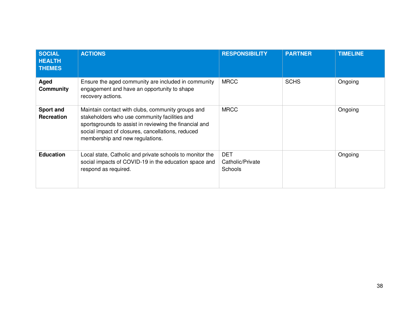| <b>SOCIAL</b><br><b>HEALTH</b><br><b>THEMES</b> | <b>ACTIONS</b>                                                                                                                                                                                                                                       | <b>RESPONSIBILITY</b>                     | <b>PARTNER</b> | <b>TIMELINE</b> |
|-------------------------------------------------|------------------------------------------------------------------------------------------------------------------------------------------------------------------------------------------------------------------------------------------------------|-------------------------------------------|----------------|-----------------|
| Aged<br><b>Community</b>                        | Ensure the aged community are included in community<br>engagement and have an opportunity to shape<br>recovery actions.                                                                                                                              | <b>MRCC</b>                               | <b>SCHS</b>    | Ongoing         |
| Sport and<br><b>Recreation</b>                  | Maintain contact with clubs, community groups and<br>stakeholders who use community facilities and<br>sportsgrounds to assist in reviewing the financial and<br>social impact of closures, cancellations, reduced<br>membership and new regulations. | <b>MRCC</b>                               |                | Ongoing         |
| <b>Education</b>                                | Local state, Catholic and private schools to monitor the<br>social impacts of COVID-19 in the education space and<br>respond as required.                                                                                                            | <b>DET</b><br>Catholic/Private<br>Schools |                | Ongoing         |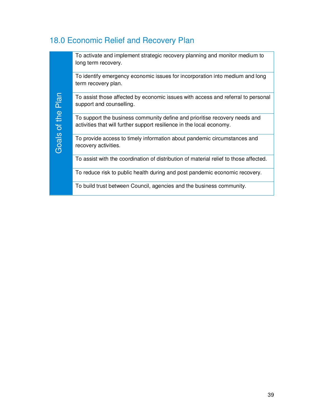## 18.0 Economic Relief and Recovery Plan

| Plan<br>Goals of the | To activate and implement strategic recovery planning and monitor medium to<br>long term recovery.                                                  |
|----------------------|-----------------------------------------------------------------------------------------------------------------------------------------------------|
|                      | To identify emergency economic issues for incorporation into medium and long<br>term recovery plan.                                                 |
|                      | To assist those affected by economic issues with access and referral to personal<br>support and counselling.                                        |
|                      | To support the business community define and prioritise recovery needs and<br>activities that will further support resilience in the local economy. |
|                      | To provide access to timely information about pandemic circumstances and<br>recovery activities.                                                    |
|                      | To assist with the coordination of distribution of material relief to those affected.                                                               |
|                      | To reduce risk to public health during and post pandemic economic recovery.                                                                         |
|                      | To build trust between Council, agencies and the business community.                                                                                |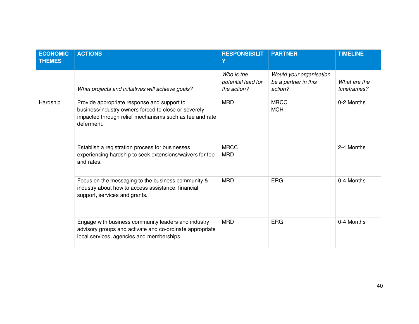| <b>ECONOMIC</b><br><b>THEMES</b> | <b>ACTIONS</b>                                                                                                                                                               | <b>RESPONSIBILIT</b><br>γ                       | <b>PARTNER</b>                                             | <b>TIMELINE</b>             |
|----------------------------------|------------------------------------------------------------------------------------------------------------------------------------------------------------------------------|-------------------------------------------------|------------------------------------------------------------|-----------------------------|
|                                  | What projects and initiatives will achieve goals?                                                                                                                            | Who is the<br>potential lead for<br>the action? | Would your organisation<br>be a partner in this<br>action? | What are the<br>timeframes? |
| Hardship                         | Provide appropriate response and support to<br>business/industry owners forced to close or severely<br>impacted through relief mechanisms such as fee and rate<br>deferment. | <b>MRD</b>                                      | <b>MRCC</b><br><b>MCH</b>                                  | 0-2 Months                  |
|                                  | Establish a registration process for businesses<br>experiencing hardship to seek extensions/waivers for fee<br>and rates.                                                    | <b>MRCC</b><br><b>MRD</b>                       |                                                            | 2-4 Months                  |
|                                  | Focus on the messaging to the business community &<br>industry about how to access assistance, financial<br>support, services and grants.                                    | <b>MRD</b>                                      | <b>ERG</b>                                                 | 0-4 Months                  |
|                                  | Engage with business community leaders and industry<br>advisory groups and activate and co-ordinate appropriate<br>local services, agencies and memberships.                 | <b>MRD</b>                                      | <b>ERG</b>                                                 | 0-4 Months                  |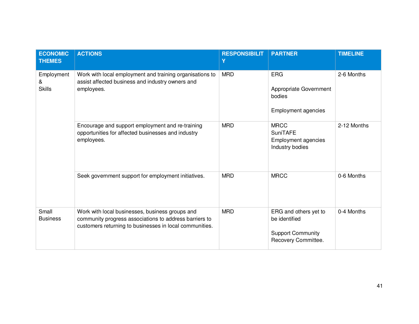| <b>ECONOMIC</b><br><b>THEMES</b> | <b>ACTIONS</b>                                                                                                                                                       | <b>RESPONSIBILIT</b><br>Υ | <b>PARTNER</b>                                                                            | <b>TIMELINE</b> |
|----------------------------------|----------------------------------------------------------------------------------------------------------------------------------------------------------------------|---------------------------|-------------------------------------------------------------------------------------------|-----------------|
| Employment<br>&<br><b>Skills</b> | Work with local employment and training organisations to<br>assist affected business and industry owners and<br>employees.                                           | <b>MRD</b>                | <b>ERG</b><br>Appropriate Government<br>bodies<br>Employment agencies                     | 2-6 Months      |
|                                  | Encourage and support employment and re-training<br>opportunities for affected businesses and industry<br>employees.                                                 | <b>MRD</b>                | <b>MRCC</b><br><b>SuniTAFE</b><br><b>Employment agencies</b><br>Industry bodies           | 2-12 Months     |
|                                  | Seek government support for employment initiatives.                                                                                                                  | <b>MRD</b>                | <b>MRCC</b>                                                                               | 0-6 Months      |
| Small<br><b>Business</b>         | Work with local businesses, business groups and<br>community progress associations to address barriers to<br>customers returning to businesses in local communities. | <b>MRD</b>                | ERG and others yet to<br>be identified<br><b>Support Community</b><br>Recovery Committee. | 0-4 Months      |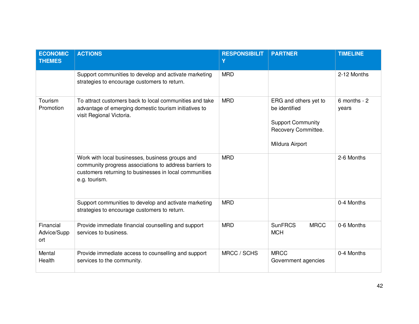| <b>ECONOMIC</b><br><b>THEMES</b> | <b>ACTIONS</b>                                                                                                                                                                       | <b>RESPONSIBILIT</b><br>Ÿ | <b>PARTNER</b>                                                                                               | <b>TIMELINE</b>           |
|----------------------------------|--------------------------------------------------------------------------------------------------------------------------------------------------------------------------------------|---------------------------|--------------------------------------------------------------------------------------------------------------|---------------------------|
|                                  | Support communities to develop and activate marketing<br>strategies to encourage customers to return.                                                                                | <b>MRD</b>                |                                                                                                              | 2-12 Months               |
| Tourism<br>Promotion             | To attract customers back to local communities and take<br>advantage of emerging domestic tourism initiatives to<br>visit Regional Victoria.                                         | <b>MRD</b>                | ERG and others yet to<br>be identified<br><b>Support Community</b><br>Recovery Committee.<br>Mildura Airport | $6$ months - $2$<br>years |
|                                  | Work with local businesses, business groups and<br>community progress associations to address barriers to<br>customers returning to businesses in local communities<br>e.g. tourism. | <b>MRD</b>                |                                                                                                              | 2-6 Months                |
|                                  | Support communities to develop and activate marketing<br>strategies to encourage customers to return.                                                                                | <b>MRD</b>                |                                                                                                              | 0-4 Months                |
| Financial<br>Advice/Supp<br>ort  | Provide immediate financial counselling and support<br>services to business.                                                                                                         | <b>MRD</b>                | <b>SunFRCS</b><br><b>MRCC</b><br><b>MCH</b>                                                                  | 0-6 Months                |
| Mental<br>Health                 | Provide immediate access to counselling and support<br>services to the community.                                                                                                    | MRCC / SCHS               | <b>MRCC</b><br>Government agencies                                                                           | 0-4 Months                |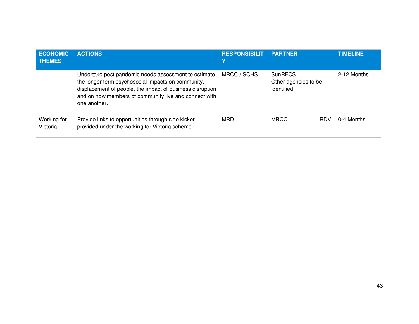| <b>ECONOMIC</b><br><b>THEMES</b> | <b>ACTIONS</b>                                                                                                                                                                                                                                   | <b>RESPONSIBILIT</b> | <b>PARTNER</b>                                       | <b>TIMELINE</b> |
|----------------------------------|--------------------------------------------------------------------------------------------------------------------------------------------------------------------------------------------------------------------------------------------------|----------------------|------------------------------------------------------|-----------------|
|                                  | Undertake post pandemic needs assessment to estimate<br>the longer term psychosocial impacts on community,<br>displacement of people, the impact of business disruption<br>and on how members of community live and connect with<br>one another. | MRCC / SCHS          | <b>SunRFCS</b><br>Other agencies to be<br>identified | 2-12 Months     |
| Working for<br>Victoria          | Provide links to opportunities through side kicker<br>provided under the working for Victoria scheme.                                                                                                                                            | <b>MRD</b>           | <b>MRCC</b><br><b>RDV</b>                            | 0-4 Months      |